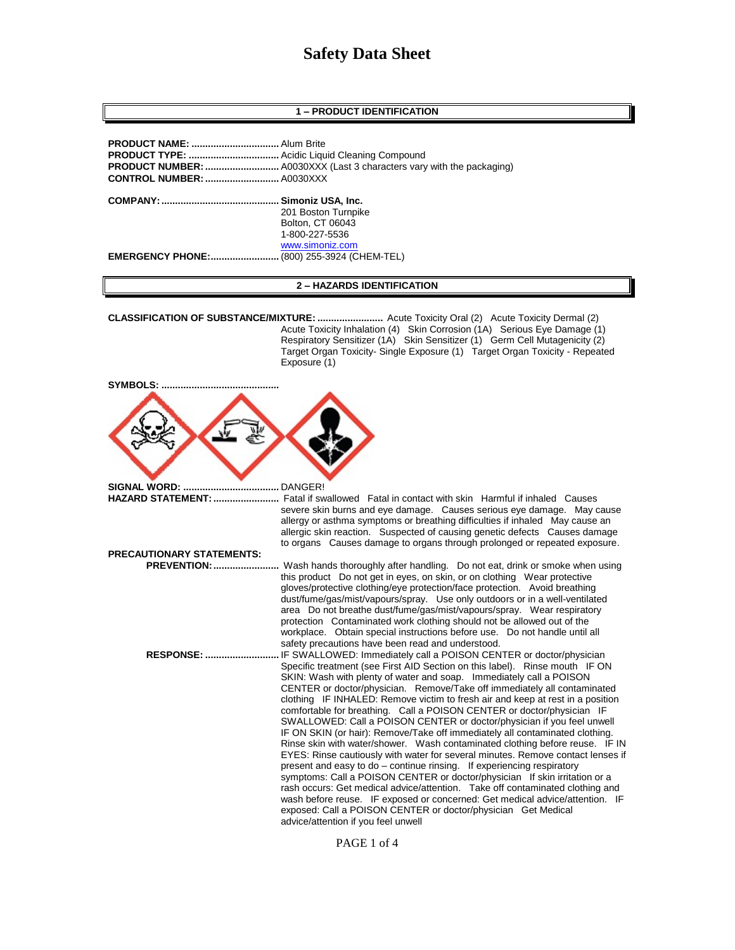# **Safety Data Sheet**

# **1 – PRODUCT IDENTIFICATION**

|                         | 201 Boston Turnpike       |
|-------------------------|---------------------------|
|                         | Bolton, CT 06043          |
|                         | 1-800-227-5536            |
|                         | www.simoniz.com           |
| <b>EMERGENCY PHONE:</b> | (800) 255-3924 (CHEM-TEL) |

# **2 – HAZARDS IDENTIFICATION**

**CLASSIFICATION OF SUBSTANCE/MIXTURE: ........................** Acute Toxicity Oral (2) Acute Toxicity Dermal (2) Acute Toxicity Inhalation (4) Skin Corrosion (1A) Serious Eye Damage (1) Respiratory Sensitizer (1A) Skin Sensitizer (1) Germ Cell Mutagenicity (2) Target Organ Toxicity- Single Exposure (1) Target Organ Toxicity - Repeated Exposure (1)

| SYMBOLS:                                 |                                                                                                                                                                                                                                                                                                                                                                                                                                                                                                                                                                                                                                                                                                                                                                                                                                                                                                                                                                                                                                                                                                                                                          |
|------------------------------------------|----------------------------------------------------------------------------------------------------------------------------------------------------------------------------------------------------------------------------------------------------------------------------------------------------------------------------------------------------------------------------------------------------------------------------------------------------------------------------------------------------------------------------------------------------------------------------------------------------------------------------------------------------------------------------------------------------------------------------------------------------------------------------------------------------------------------------------------------------------------------------------------------------------------------------------------------------------------------------------------------------------------------------------------------------------------------------------------------------------------------------------------------------------|
|                                          |                                                                                                                                                                                                                                                                                                                                                                                                                                                                                                                                                                                                                                                                                                                                                                                                                                                                                                                                                                                                                                                                                                                                                          |
| <b>SIGNAL WORD: </b>                     | DANGER!                                                                                                                                                                                                                                                                                                                                                                                                                                                                                                                                                                                                                                                                                                                                                                                                                                                                                                                                                                                                                                                                                                                                                  |
| HAZARD STATEMENT:                        | Fatal if swallowed Fatal in contact with skin Harmful if inhaled Causes                                                                                                                                                                                                                                                                                                                                                                                                                                                                                                                                                                                                                                                                                                                                                                                                                                                                                                                                                                                                                                                                                  |
|                                          | severe skin burns and eye damage. Causes serious eye damage. May cause<br>allergy or asthma symptoms or breathing difficulties if inhaled May cause an<br>allergic skin reaction. Suspected of causing genetic defects Causes damage<br>to organs Causes damage to organs through prolonged or repeated exposure.                                                                                                                                                                                                                                                                                                                                                                                                                                                                                                                                                                                                                                                                                                                                                                                                                                        |
| <b>PRECAUTIONARY STATEMENTS:</b>         |                                                                                                                                                                                                                                                                                                                                                                                                                                                                                                                                                                                                                                                                                                                                                                                                                                                                                                                                                                                                                                                                                                                                                          |
| <b>PREVENTION: </b><br><b>RESPONSE: </b> | . Wash hands thoroughly after handling.  Do not eat, drink or smoke when using<br>this product Do not get in eyes, on skin, or on clothing Wear protective<br>gloves/protective clothing/eye protection/face protection. Avoid breathing<br>dust/fume/gas/mist/vapours/spray. Use only outdoors or in a well-ventilated<br>area Do not breathe dust/fume/gas/mist/vapours/spray. Wear respiratory<br>protection Contaminated work clothing should not be allowed out of the<br>workplace. Obtain special instructions before use. Do not handle until all<br>safety precautions have been read and understood.<br>IF SWALLOWED: Immediately call a POISON CENTER or doctor/physician                                                                                                                                                                                                                                                                                                                                                                                                                                                                     |
|                                          | Specific treatment (see First AID Section on this label). Rinse mouth IF ON<br>SKIN: Wash with plenty of water and soap. Immediately call a POISON<br>CENTER or doctor/physician. Remove/Take off immediately all contaminated<br>clothing IF INHALED: Remove victim to fresh air and keep at rest in a position<br>comfortable for breathing. Call a POISON CENTER or doctor/physician IF<br>SWALLOWED: Call a POISON CENTER or doctor/physician if you feel unwell<br>IF ON SKIN (or hair): Remove/Take off immediately all contaminated clothing.<br>Rinse skin with water/shower. Wash contaminated clothing before reuse. IF IN<br>EYES: Rinse cautiously with water for several minutes. Remove contact lenses if<br>present and easy to do - continue rinsing. If experiencing respiratory<br>symptoms: Call a POISON CENTER or doctor/physician If skin irritation or a<br>rash occurs: Get medical advice/attention. Take off contaminated clothing and<br>wash before reuse. IF exposed or concerned: Get medical advice/attention. IF<br>exposed: Call a POISON CENTER or doctor/physician Get Medical<br>advice/attention if you feel unwell |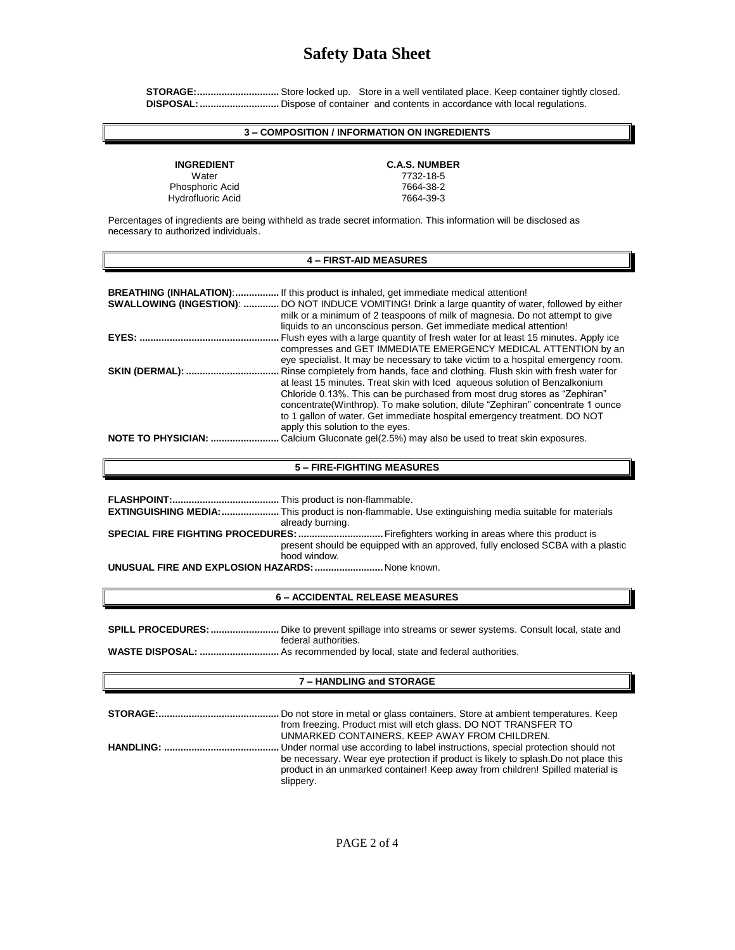# **Safety Data Sheet**

 **STORAGE:..............................** Store locked up. Store in a well ventilated place. Keep container tightly closed.  **DISPOSAL:.............................** Dispose of container and contents in accordance with local regulations.

# **3 – COMPOSITION / INFORMATION ON INGREDIENTS**

Water 7732-18-5 Phosphoric Acid<br>
Hydrofluoric Acid<br>
17664-39-3 Hydrofluoric Acid

# **INGREDIENT C.A.S. NUMBER**

Percentages of ingredients are being withheld as trade secret information. This information will be disclosed as necessary to authorized individuals.

### **4 – FIRST-AID MEASURES**

| <b>BREATHING (INHALATION): </b><br>SWALLOWING (INGESTION): | . If this product is inhaled, get immediate medical attention!<br>. DO NOT INDUCE VOMITING! Drink a large quantity of water, followed by either<br>milk or a minimum of 2 teaspoons of milk of magnesia. Do not attempt to give<br>liquids to an unconscious person. Get immediate medical attention!                                                                                                                                         |
|------------------------------------------------------------|-----------------------------------------------------------------------------------------------------------------------------------------------------------------------------------------------------------------------------------------------------------------------------------------------------------------------------------------------------------------------------------------------------------------------------------------------|
|                                                            | Flush eyes with a large quantity of fresh water for at least 15 minutes. Apply ice<br>compresses and GET IMMEDIATE EMERGENCY MEDICAL ATTENTION by an<br>eye specialist. It may be necessary to take victim to a hospital emergency room.                                                                                                                                                                                                      |
| <b>SKIN (DERMAL): </b>                                     | Rinse completely from hands, face and clothing. Flush skin with fresh water for<br>at least 15 minutes. Treat skin with lced agueous solution of Benzalkonium<br>Chloride 0.13%. This can be purchased from most drug stores as "Zephiran"<br>concentrate (Winthrop). To make solution, dilute "Zephiran" concentrate 1 ounce<br>to 1 gallon of water. Get immediate hospital emergency treatment. DO NOT<br>apply this solution to the eyes. |
| <b>NOTE TO PHYSICIAN: </b>                                 | Calcium Gluconate gel(2.5%) may also be used to treat skin exposures.                                                                                                                                                                                                                                                                                                                                                                         |

### **5 – FIRE-FIGHTING MEASURES**

|                                                  | <b>EXTINGUISHING MEDIA: </b> This product is non-flammable. Use extinguishing media suitable for materials |  |
|--------------------------------------------------|------------------------------------------------------------------------------------------------------------|--|
|                                                  | already burning.<br>SPECIAL FIRE FIGHTING PROCEDURES:  Firefighters working in areas where this product is |  |
|                                                  | present should be equipped with an approved, fully enclosed SCBA with a plastic<br>hood window.            |  |
| UNUSUAL FIRE AND EXPLOSION HAZARDS:  None known. |                                                                                                            |  |

### **6 – ACCIDENTAL RELEASE MEASURES**

| <b>SPILL PROCEDURES:</b> Dike to prevent spillage into streams or sewer systems. Consult local, state and |
|-----------------------------------------------------------------------------------------------------------|
| federal authorities.                                                                                      |
|                                                                                                           |
|                                                                                                           |

# **7 – HANDLING and STORAGE**

**STORAGE:............................................** Do not store in metal or glass containers. Store at ambient temperatures. Keep from freezing. Product mist will etch glass. DO NOT TRANSFER TO UNMARKED CONTAINERS. KEEP AWAY FROM CHILDREN. **HANDLING: ..........................................** Under normal use according to label instructions, special protection should not be necessary. Wear eye protection if product is likely to splash.Do not place this product in an unmarked container! Keep away from children! Spilled material is slippery.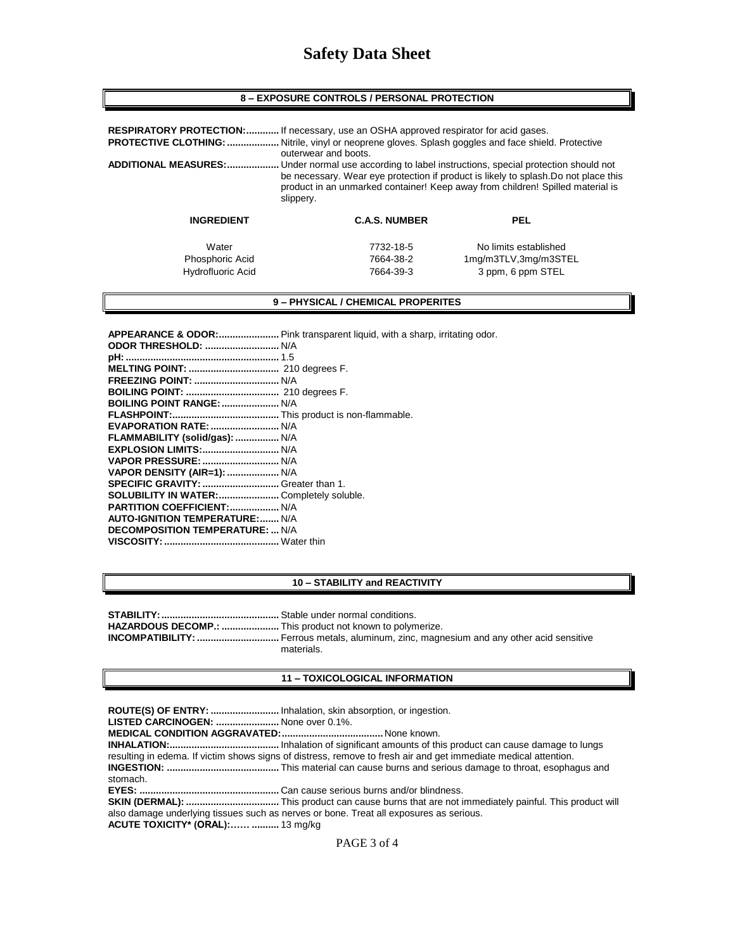| <b>8 – EXPOSURE CONTROLS / PERSONAL PROTECTION</b> |  |  |
|----------------------------------------------------|--|--|
|----------------------------------------------------|--|--|

| <b>PROTECTIVE CLOTHING: </b><br><b>ADDITIONAL MEASURES: </b> | <b>RESPIRATORY PROTECTION:</b> If necessary, use an OSHA approved respirator for acid gases.<br>Nitrile, vinyl or neoprene gloves. Splash goggles and face shield. Protective<br>outerwear and boots.<br>Under normal use according to label instructions, special protection should not<br>be necessary. Wear eye protection if product is likely to splash. Do not place this<br>product in an unmarked container! Keep away from children! Spilled material is<br>slippery. |                                                                    |  |
|--------------------------------------------------------------|--------------------------------------------------------------------------------------------------------------------------------------------------------------------------------------------------------------------------------------------------------------------------------------------------------------------------------------------------------------------------------------------------------------------------------------------------------------------------------|--------------------------------------------------------------------|--|
| <b>INGREDIENT</b>                                            | <b>C.A.S. NUMBER</b>                                                                                                                                                                                                                                                                                                                                                                                                                                                           | <b>PEL</b>                                                         |  |
| Water<br>Phosphoric Acid<br>Hydrofluoric Acid                | 7732-18-5<br>7664-38-2<br>7664-39-3                                                                                                                                                                                                                                                                                                                                                                                                                                            | No limits established<br>1mg/m3TLV,3mg/m3STEL<br>3 ppm, 6 ppm STEL |  |

**9 – PHYSICAL / CHEMICAL PROPERITES**

| BOILING POINT RANGE:  N/A                 |  |
|-------------------------------------------|--|
|                                           |  |
| <b>EVAPORATION RATE:  N/A</b>             |  |
| FLAMMABILITY (solid/gas):  N/A            |  |
|                                           |  |
|                                           |  |
| VAPOR DENSITY (AIR=1):  N/A               |  |
|                                           |  |
| SOLUBILITY IN WATER:  Completely soluble. |  |
| PARTITION COEFFICIENT:  N/A               |  |
| <b>AUTO-IGNITION TEMPERATURE: N/A</b>     |  |
| <b>DECOMPOSITION TEMPERATURE:  N/A</b>    |  |
|                                           |  |
|                                           |  |

### **10 – STABILITY and REACTIVITY**

| HAZARDOUS DECOMP.:  This product not known to polymerize. |            |
|-----------------------------------------------------------|------------|
|                                                           |            |
|                                                           | materials. |

## **11 – TOXICOLOGICAL INFORMATION**

**ROUTE(S) OF ENTRY: .........................** Inhalation, skin absorption, or ingestion.

**LISTED CARCINOGEN: .......................** None over 0.1%.

**MEDICAL CONDITION AGGRAVATED:.....................................** None known.

**INHALATION:........................................** Inhalation of significant amounts of this product can cause damage to lungs resulting in edema. If victim shows signs of distress, remove to fresh air and get immediate medical attention. **INGESTION: .........................................** This material can cause burns and serious damage to throat, esophagus and

**EYES: ...................................................** Can cause serious burns and/or blindness.

**SKIN (DERMAL): ..................................** This product can cause burns that are not immediately painful. This product will also damage underlying tissues such as nerves or bone. Treat all exposures as serious. **ACUTE TOXICITY\* (ORAL):…… ..........** 13 mg/kg

stomach.